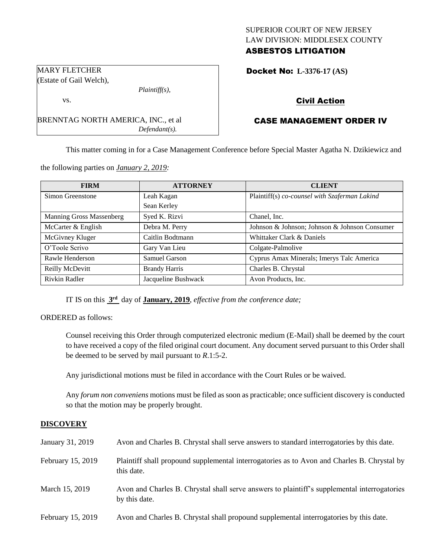## SUPERIOR COURT OF NEW JERSEY LAW DIVISION: MIDDLESEX COUNTY ASBESTOS LITIGATION

Docket No: **L-3376-17 (AS)** 

# Civil Action

# CASE MANAGEMENT ORDER IV

This matter coming in for a Case Management Conference before Special Master Agatha N. Dzikiewicz and

the following parties on *January 2, 2019:*

BRENNTAG NORTH AMERICA, INC., et al

*Plaintiff(s),*

*Defendant(s).*

| <b>FIRM</b>                     | <b>ATTORNEY</b>      | <b>CLIENT</b>                                 |
|---------------------------------|----------------------|-----------------------------------------------|
| Simon Greenstone                | Leah Kagan           | Plaintiff(s) co-counsel with Szaferman Lakind |
|                                 | Sean Kerley          |                                               |
| <b>Manning Gross Massenberg</b> | Syed K. Rizvi        | Chanel, Inc.                                  |
| McCarter & English              | Debra M. Perry       | Johnson & Johnson; Johnson & Johnson Consumer |
| McGivney Kluger                 | Caitlin Bodtmann     | Whittaker Clark & Daniels                     |
| O'Toole Scrivo                  | Gary Van Lieu        | Colgate-Palmolive                             |
| Rawle Henderson                 | Samuel Garson        | Cyprus Amax Minerals; Imerys Talc America     |
| Reilly McDevitt                 | <b>Brandy Harris</b> | Charles B. Chrystal                           |
| Rivkin Radler                   | Jacqueline Bushwack  | Avon Products, Inc.                           |

IT IS on this **3 rd** day of **January, 2019**, *effective from the conference date;*

ORDERED as follows:

Counsel receiving this Order through computerized electronic medium (E-Mail) shall be deemed by the court to have received a copy of the filed original court document. Any document served pursuant to this Order shall be deemed to be served by mail pursuant to *R*.1:5-2.

Any jurisdictional motions must be filed in accordance with the Court Rules or be waived.

Any *forum non conveniens* motions must be filed as soon as practicable; once sufficient discovery is conducted so that the motion may be properly brought.

## **DISCOVERY**

| January 31, 2019  | Avon and Charles B. Chrystal shall serve answers to standard interrogatories by this date.                    |
|-------------------|---------------------------------------------------------------------------------------------------------------|
| February 15, 2019 | Plaintiff shall propound supplemental interrogatories as to Avon and Charles B. Chrystal by<br>this date.     |
| March 15, 2019    | Avon and Charles B. Chrystal shall serve answers to plaintiff's supplemental interrogatories<br>by this date. |
| February 15, 2019 | Avon and Charles B. Chrystal shall propound supplemental interrogatories by this date.                        |

MARY FLETCHER (Estate of Gail Welch),

vs.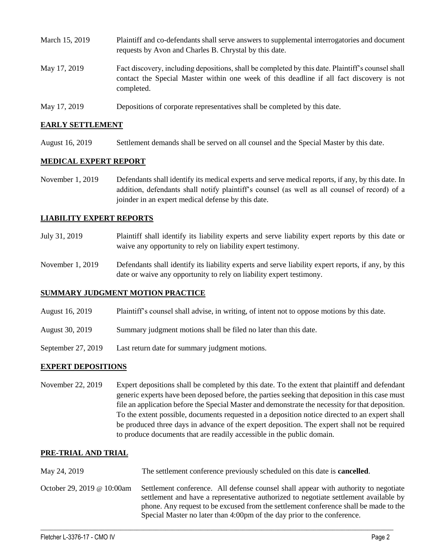- March 15, 2019 Plaintiff and co-defendants shall serve answers to supplemental interrogatories and document requests by Avon and Charles B. Chrystal by this date. May 17, 2019 Fact discovery, including depositions, shall be completed by this date. Plaintiff's counsel shall contact the Special Master within one week of this deadline if all fact discovery is not completed.
- May 17, 2019 Depositions of corporate representatives shall be completed by this date.

#### **EARLY SETTLEMENT**

August 16, 2019 Settlement demands shall be served on all counsel and the Special Master by this date.

## **MEDICAL EXPERT REPORT**

November 1, 2019 Defendants shall identify its medical experts and serve medical reports, if any, by this date. In addition, defendants shall notify plaintiff's counsel (as well as all counsel of record) of a joinder in an expert medical defense by this date.

#### **LIABILITY EXPERT REPORTS**

- July 31, 2019 Plaintiff shall identify its liability experts and serve liability expert reports by this date or waive any opportunity to rely on liability expert testimony.
- November 1, 2019 Defendants shall identify its liability experts and serve liability expert reports, if any, by this date or waive any opportunity to rely on liability expert testimony.

## **SUMMARY JUDGMENT MOTION PRACTICE**

- August 16, 2019 Plaintiff's counsel shall advise, in writing, of intent not to oppose motions by this date.
- August 30, 2019 Summary judgment motions shall be filed no later than this date.
- September 27, 2019 Last return date for summary judgment motions.

## **EXPERT DEPOSITIONS**

November 22, 2019 Expert depositions shall be completed by this date. To the extent that plaintiff and defendant generic experts have been deposed before, the parties seeking that deposition in this case must file an application before the Special Master and demonstrate the necessity for that deposition. To the extent possible, documents requested in a deposition notice directed to an expert shall be produced three days in advance of the expert deposition. The expert shall not be required to produce documents that are readily accessible in the public domain.

#### **PRE-TRIAL AND TRIAL**

| May 24, 2019               | The settlement conference previously scheduled on this date is <b>cancelled</b> .                                                                                                                                                                                                                                                              |
|----------------------------|------------------------------------------------------------------------------------------------------------------------------------------------------------------------------------------------------------------------------------------------------------------------------------------------------------------------------------------------|
| October 29, 2019 @ 10:00am | Settlement conference. All defense counsel shall appear with authority to negotiate<br>settlement and have a representative authorized to negotiate settlement available by<br>phone. Any request to be excused from the settlement conference shall be made to the<br>Special Master no later than 4:00pm of the day prior to the conference. |